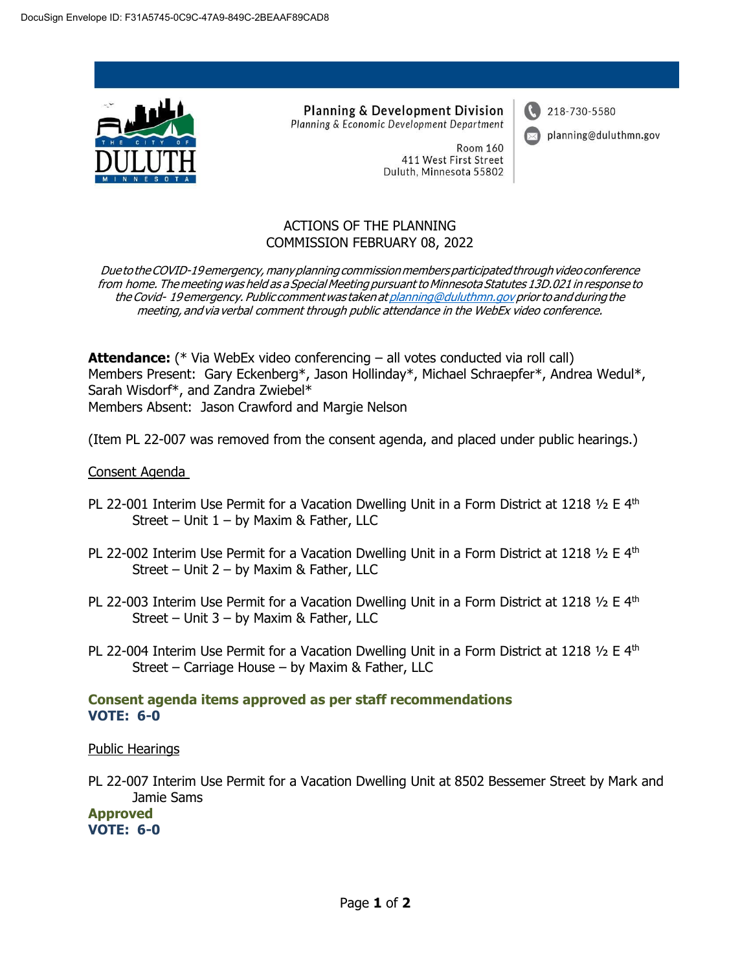

**Planning & Development Division** Planning & Economic Development Department 218-730-5580



planning@duluthmn.gov

**Room 160** 411 West First Street Duluth, Minnesota 55802

## ACTIONS OF THE PLANNING COMMISSION FEBRUARY 08, 2022

Due to the COVID-19 emergency, many planning commission members participated through video conference from home. The meeting was held as a Special Meeting pursuant to Minnesota Statutes 13D.021 in response to the Covid-19 emergency. Public comment was taken at planning@duluthmn.gov prior to and during the meeting, andvia verbal comment through public attendance in the WebEx video conference.

**Attendance:** (\* Via WebEx video conferencing – all votes conducted via roll call) Members Present: Gary Eckenberg\*, Jason Hollinday\*, Michael Schraepfer\*, Andrea Wedul\*, Sarah Wisdorf\*, and Zandra Zwiebel\* Members Absent: Jason Crawford and Margie Nelson

(Item PL 22-007 was removed from the consent agenda, and placed under public hearings.)

## Consent Agenda

- PL 22-001 Interim Use Permit for a Vacation Dwelling Unit in a Form District at 1218  $\frac{1}{2}$  E 4<sup>th</sup> Street – Unit  $1 - by$  Maxim & Father, LLC
- PL 22-002 Interim Use Permit for a Vacation Dwelling Unit in a Form District at 1218  $\frac{1}{2}$  E 4<sup>th</sup> Street – Unit 2 – by Maxim & Father, LLC
- PL 22-003 Interim Use Permit for a Vacation Dwelling Unit in a Form District at 1218  $\frac{1}{2}$  E 4<sup>th</sup> Street – Unit 3 – by Maxim & Father, LLC
- PL 22-004 Interim Use Permit for a Vacation Dwelling Unit in a Form District at 1218  $\frac{1}{2}$  E 4<sup>th</sup> Street – Carriage House – by Maxim & Father, LLC

## **Consent agenda items approved as per staff recommendations VOTE: 6-0**

## Public Hearings

PL 22-007 Interim Use Permit for a Vacation Dwelling Unit at 8502 Bessemer Street by Mark and Jamie Sams

**Approved VOTE: 6-0**